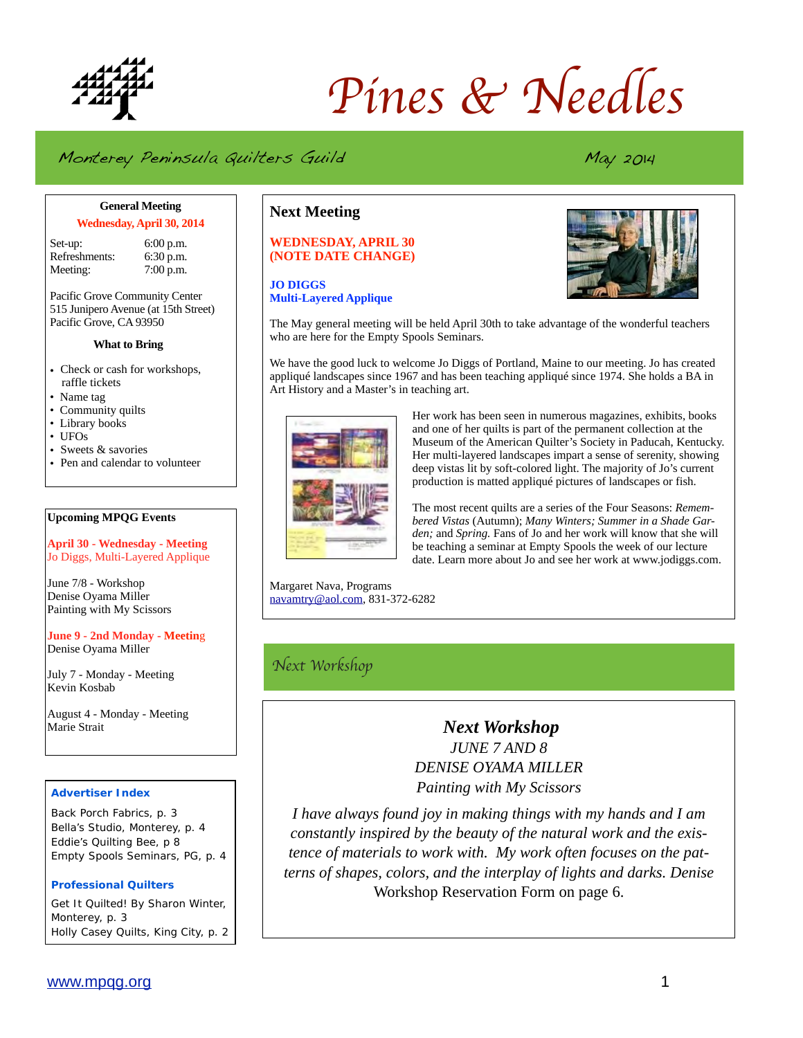

# *Pines & Needles*

## Monterey Peninsula Quilters Guild May 2014

#### **General Meeting Wednesday, April 30, 2014**

Set-up: 6:00 p.m. Refreshments: 6:30 p.m. Meeting: 7:00 p.m.

Pacific Grove Community Center 515 Junipero Avenue (at 15th Street) Pacific Grove, CA 93950

#### **What to Bring**

- Check or cash for workshops, raffle tickets
- Name tag
- Community quilts
- Library books
- UFOs
- Sweets & savories
- Pen and calendar to volunteer

#### **Upcoming MPQG Events**

#### **April 30 - Wednesday - Meeting**  Jo Diggs, Multi-Layered Applique

June 7/8 - Workshop Denise Oyama Miller Painting with My Scissors

#### **June 9 - 2nd Monday - Meetin**g Denise Oyama Miller

July 7 - Monday - Meeting Kevin Kosbab

August 4 - Monday - Meeting Marie Strait

#### **Advertiser Index**

Back Porch Fabrics, p. 3 Bella's Studio, Monterey, p. 4 Eddie's Quilting Bee, p 8 Empty Spools Seminars, PG, p. 4

#### **Professional Quilters**

Get It Quilted! By Sharon Winter, Monterey, p. 3 Holly Casey Quilts, King City, p. 2

#### **Next Meeting**

**WEDNESDAY, APRIL 30 (NOTE DATE CHANGE)**

#### **JO DIGGS Multi-Layered Applique**



The May general meeting will be held April 30th to take advantage of the wonderful teachers who are here for the Empty Spools Seminars.

We have the good luck to welcome Jo Diggs of Portland, Maine to our meeting. Jo has created appliqué landscapes since 1967 and has been teaching appliqué since 1974. She holds a BA in Art History and a Master's in teaching art.



Her work has been seen in numerous magazines, exhibits, books and one of her quilts is part of the permanent collection at the Museum of the American Quilter's Society in Paducah, Kentucky. Her multi-layered landscapes impart a sense of serenity, showing deep vistas lit by soft-colored light. The majority of Jo's current production is matted appliqué pictures of landscapes or fish.

The most recent quilts are a series of the Four Seasons: *Remembered Vistas* (Autumn); *Many Winters; Summer in a Shade Garden;* and *Spring.* Fans of Jo and her work will know that she will be teaching a seminar at Empty Spools the week of our lecture date. Learn more about Jo and see her work at www.jodiggs.com.

Margaret Nava, Programs [navamtry@aol.com,](mailto:navamtry@aol.com) 831-372-6282

### *Next Workshop*

#### *Next Workshop JUNE 7 AND 8 DENISE OYAMA MILLER Painting with My Scissors*

*I have always found joy in making things with my hands and I am constantly inspired by the beauty of the natural work and the existence of materials to work with. My work often focuses on the patterns of shapes, colors, and the interplay of lights and darks. Denise* Workshop Reservation Form on page 6.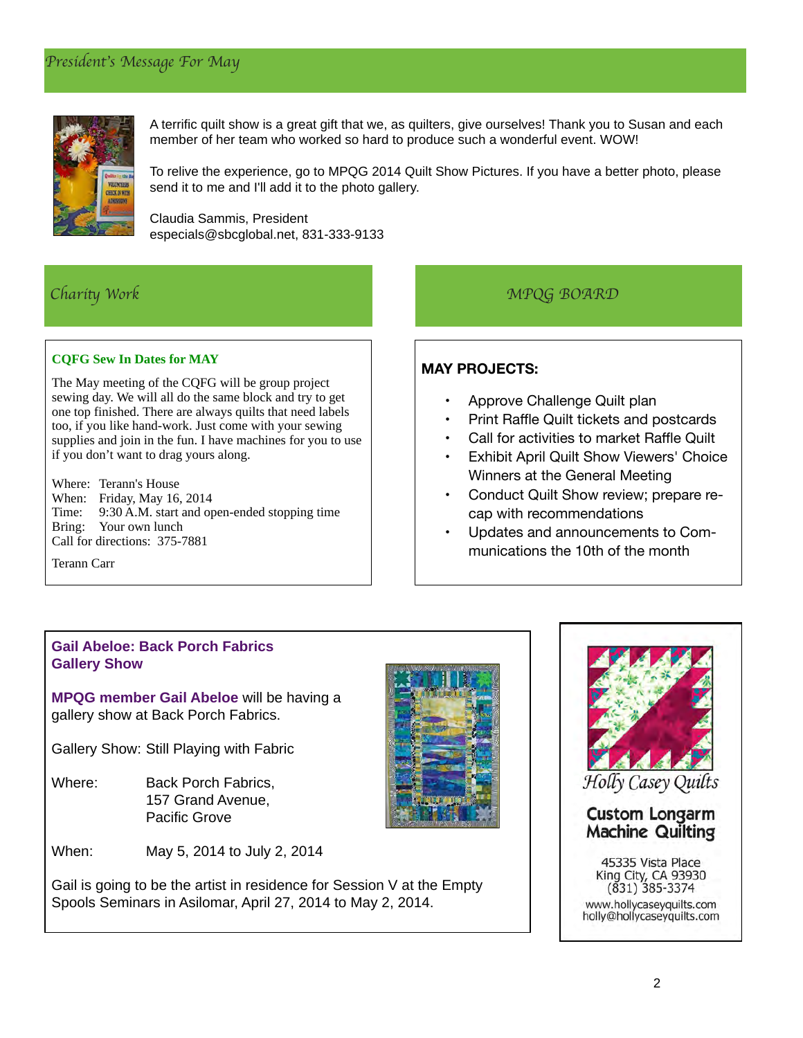#### *President*'*s Message For May*



A terrific quilt show is a great gift that we, as quilters, give ourselves! Thank you to Susan and each member of her team who worked so hard to produce such a wonderful event. WOW!

To relive the experience, go to MPQG 2014 Quilt Show Pictures. If you have a better photo, please send it to me and I'll add it to the photo gallery.

Claudia Sammis, President especials@sbcglobal.net, 831-333-9133

#### *Charity Work*

#### **CQFG Sew In Dates for MAY**

The May meeting of the CQFG will be group project sewing day. We will all do the same block and try to get one top finished. There are always quilts that need labels too, if you like hand-work. Just come with your sewing supplies and join in the fun. I have machines for you to use if you don't want to drag yours along.

Where: Terann's House When: Friday, May 16, 2014 Time: 9:30 A.M. start and open-ended stopping time Bring: Your own lunch Call for directions: 375-7881

#### *MPQG BOARD*

#### **MAY PROJECTS:**

- Approve Challenge Quilt plan
- Print Raffle Quilt tickets and postcards
- Call for activities to market Raffle Quilt
- **Exhibit April Quilt Show Viewers' Choice** Winners at the General Meeting
- Conduct Quilt Show review; prepare recap with recommendations
- Updates and announcements to Communications the 10th of the month

Terann Carr

#### **Gail Abeloe: Back Porch Fabrics Gallery Show**

**MPQG member Gail Abeloe** will be having a gallery show at Back Porch Fabrics.

Gallery Show: Still Playing with Fabric

Where: Back Porch Fabrics, 157 Grand Avenue, Pacific Grove

When: May 5, 2014 to July 2, 2014

Gail is going to be the artist in residence for Session V at the Empty Spools Seminars in Asilomar, April 27, 2014 to May 2, 2014.





**Custom Longarm Machine Quilting** 

45335 Vista Place King City, CA 93930<br>(831) 385-3374 www.hollycaseyguilts.com holly@hollycaseyquilts.com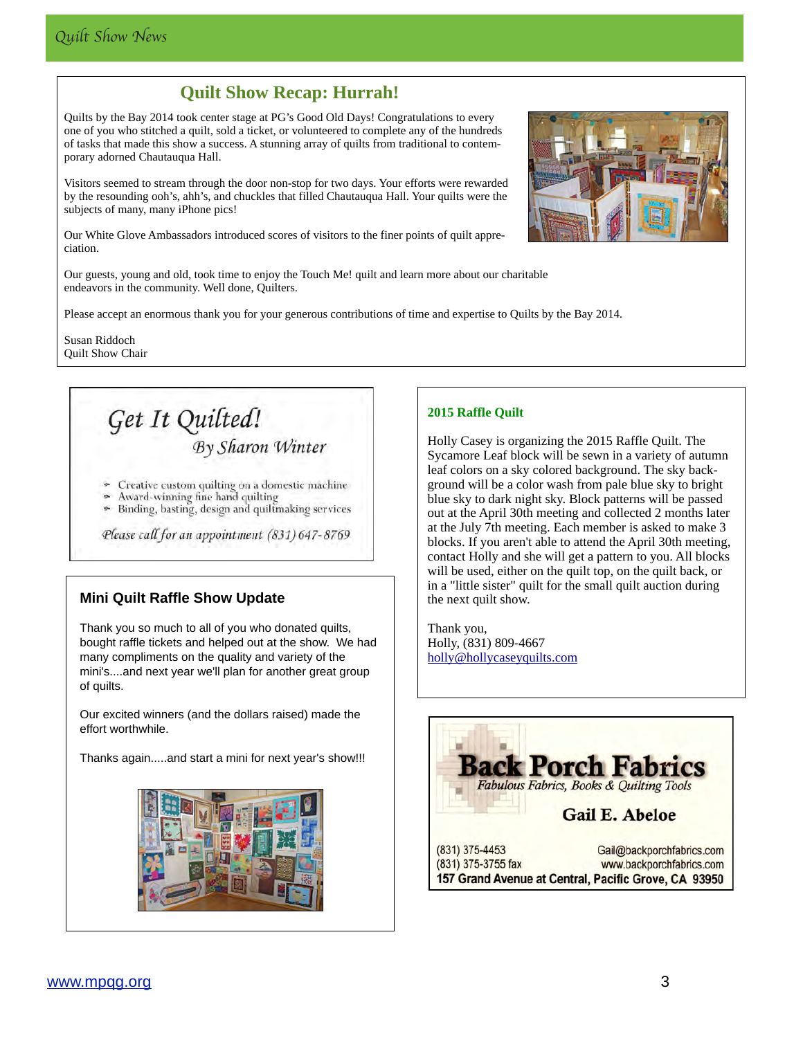## **Quilt Show Recap: Hurrah!**

Quilts by the Bay 2014 took center stage at PG's Good Old Days! Congratulations to every one of you who stitched a quilt, sold a ticket, or volunteered to complete any of the hundreds of tasks that made this show a success. A stunning array of quilts from traditional to contemporary adorned Chautauqua Hall.

Visitors seemed to stream through the door non-stop for two days. Your efforts were rewarded by the resounding ooh's, ahh's, and chuckles that filled Chautauqua Hall. Your quilts were the subjects of many, many iPhone pics!

Our White Glove Ambassadors introduced scores of visitors to the finer points of quilt appreciation.



Our guests, young and old, took time to enjoy the Touch Me! quilt and learn more about our charitable endeavors in the community. Well done, Quilters.

Please accept an enormous thank you for your generous contributions of time and expertise to Quilts by the Bay 2014.

Susan Riddoch Quilt Show Chair

## Get It Quilted! By Sharon Winter

- Creative custom quilting on a domestic machine
- Award-winning fine hand quilting
- Binding, basting, design and quiltmaking services

Please call for an appointment (831) 647-8769

#### **Mini Quilt Raffle Show Update**

Thank you so much to all of you who donated quilts, bought raffle tickets and helped out at the show. We had many compliments on the quality and variety of the mini's....and next year we'll plan for another great group of quilts.

Our excited winners (and the dollars raised) made the effort worthwhile.

Thanks again.....and start a mini for next year's show!!!



#### **2015 Raffle Quilt**

Holly Casey is organizing the 2015 Raffle Quilt. The Sycamore Leaf block will be sewn in a variety of autumn leaf colors on a sky colored background. The sky background will be a color wash from pale blue sky to bright blue sky to dark night sky. Block patterns will be passed out at the April 30th meeting and collected 2 months later at the July 7th meeting. Each member is asked to make 3 blocks. If you aren't able to attend the April 30th meeting, contact Holly and she will get a pattern to you. All blocks will be used, either on the quilt top, on the quilt back, or in a "little sister" quilt for the small quilt auction during the next quilt show.

Thank you, Holly, (831) 809-4667 [holly@hollycaseyquilts.com](mailto:holly@hollycaseyquilts.com)

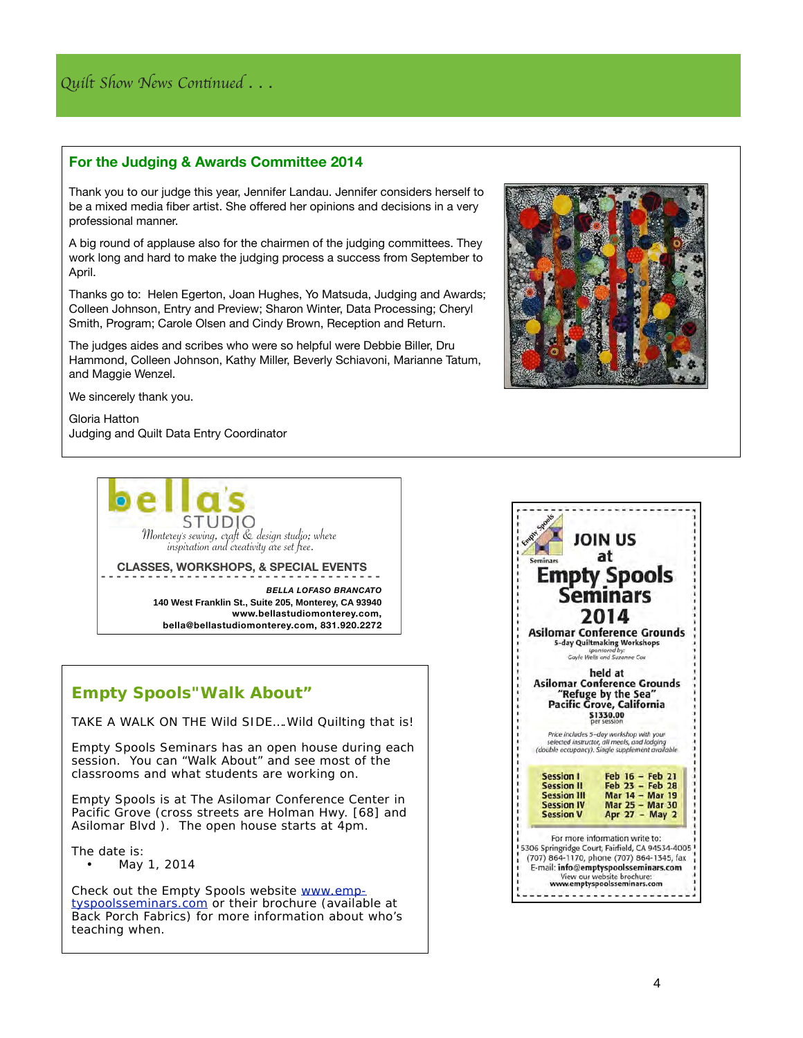#### **For the Judging & Awards Committee 2014**

Thank you to our judge this year, Jennifer Landau. Jennifer considers herself to be a mixed media fiber artist. She offered her opinions and decisions in a very professional manner.

A big round of applause also for the chairmen of the judging committees. They work long and hard to make the judging process a success from September to April.

Thanks go to: Helen Egerton, Joan Hughes, Yo Matsuda, Judging and Awards; Colleen Johnson, Entry and Preview; Sharon Winter, Data Processing; Cheryl Smith, Program; Carole Olsen and Cindy Brown, Reception and Return.

Monzel.<br>'s sewing, craft and creativity are set free. The judges aides and scribes who were so helpful were Debbie Biller, Dru Hammond, Colleen Johnson, Kathy Miller, Beverly Schiavoni, Marianne Tatum, and Maggie Wenzel.

**www.bellastudiomonterey.com,** 



We sincerely thank you.

**www.bellastudiomonterey.com,** 

*Budging and Quilt Date Entry Coordinator* **140 West Franklin St., Suite 205, Monterey, CA 93940 Clari 140 West Franklin St., Suite 205, Monterey, CA 93940**  Judging and Quilt Data Entry Coordinator  $\blacksquare$ Gloria Hatton



#### **Empty Spools"Walk About"**

TAKE A WALK ON THE Wild SIDE….Wild Quilting that is!

Empty Spools Seminars has an open house during each session. You can "Walk About" and see most of the classrooms and what students are working on.

Empty Spools is at The Asilomar Conference Center in Pacific Grove (cross streets are Holman Hwy. [68] and Asilomar Blvd ). The open house starts at 4pm.

The date is:

• May 1, 2014

[Check out the Empty Spools website www.emp](http://www.emptyspoolsseminars.com/)tyspoolsseminars.com or their brochure (available at Back Porch Fabrics) for more information about who's teaching when.

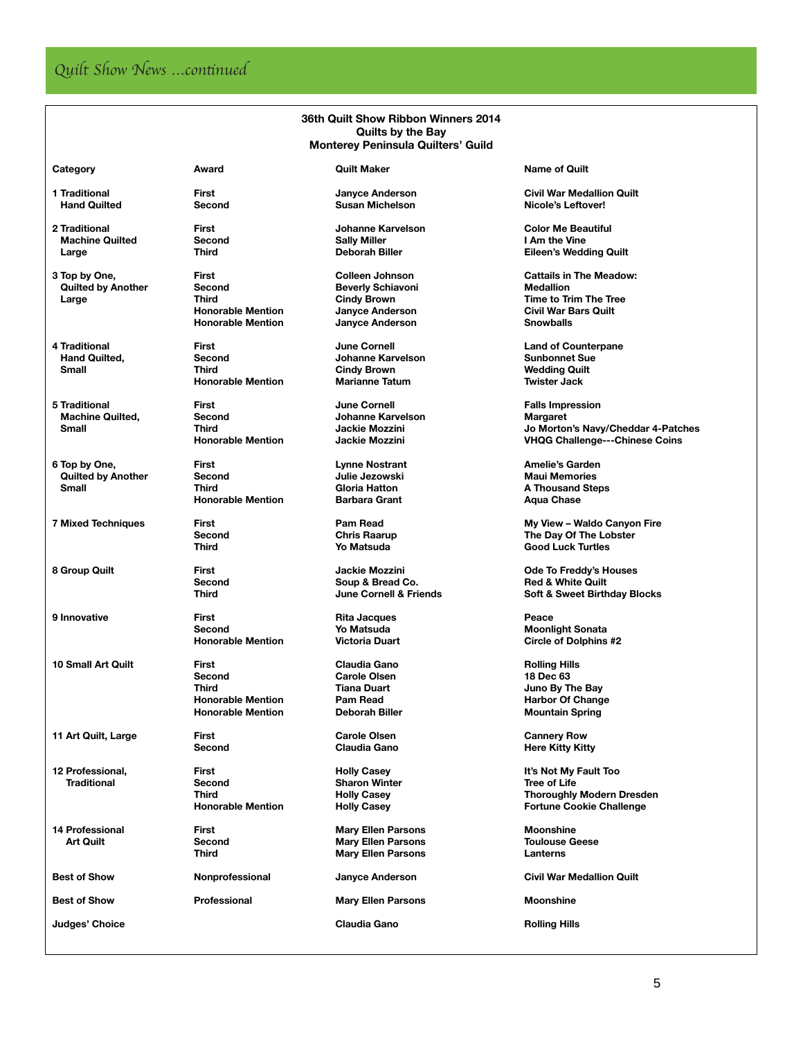#### **36th Quilt Show Ribbon Winners 2014 Quilts by the Bay Monterey Peninsula Quilters' Guild**

- 
- **Quilted by Another**
- 
- **5 Traditional First June Cornell Falls Impression**
- **6 Top by One, First Lynne Nostrant Amelie's Garden Quilted by Another**  $\blacksquare$  **Second**  $\blacksquare$  $\blacksquare$  **Julie Jezowski**  $\blacksquare$  **Maui Memories**

**10 Small Art Quilt First Claudia Gano Rolling Hills** 

**Second Susan Michelson** 

 **Machine Quilted Second Sally Miller I Am the Vine** 

 **Janyce Anderson** 

 **Hand Quilted, Second Johanne Karvelson Sunbonnet Sue Small Cindy Brown COMBON COMBON COMBON COMBON COMBON COMBON COMBON COMBON COMBON COMBON COMBON TWISTER OF BROW <b>TWISTER THEODIST COMBON COMBON COMBON COMBON COMBON COMBON COMBON COMBON COMBON COMBON COMBON COMBON** 

 **Honorable Mention** 

 **Machine Quilted,**  $\qquad$  **Second**  $\qquad$  **Johanne Karvelson**  $\qquad$  **Margaret <b>Margaret** 

 **Honorable Mention Barbara Grant Aqua Chase Agua Chase** 

**9 Innovative First Rita Jacques Peace** 

 **Second Carole Olsen 2000 18 Dec 63 and 2000 18 Dec 63 and 2000 18 Dec 63 and 2000 18 Dec 63 and 2000 18 Dec 63 and 2000 18 Dec 63 and 2000 18 Dec 63 and 2000 18 Dec 63 and 2000 18 Dec 63 and 2000 18 Dec 63 and 2000 18 De** 

 **Traditional Second Sharon Winter Tree of Life** 

**14 Professional First Mary Ellen Parsons Moonshine Mary Ellen Parsons Third Mary Ellen Parsons Lanterns** 

**Best of Show Professional Mary Ellen Parsons** Moonshine

**Judges' Choice Claudia Gano Rolling Hills**

#### **Category Category Award Quilt Maker Category Name of Quilt**

**1 Traditional First Janyce Anderson Civil War Medallion Quilt** 

**2 Traditional First Johanne Karvelson Color Me Beautiful Large Third Deborah Biller <b>Communist Communist Communist Communist Communist Communist Communist Communist Communist Communist Communist Communist Communist Communist Communist Communist Communist Communist Commun** 

**3 Top by One, First First Colleen Johnson Collem Integral Cattails in The Meadow: Cattails in The Meadow: Cattails in The Meadow: Cattails in The Meadow: Cattails in The Meadow: Collem Collem Beverly Sc Large** *Cindy Brown* **<b>Cindy Brown** *Time to Trim The Tree <b>C Trim The Tree 1*  **Honorable Mention Janyce Anderson Civil War Bars Quilt** 

**4 Traditional Counterpane** *Counterpane Counterpane Counterpane Counterpane* 

 **Small Third Jackie Mozzini Jo Morton's Navy/Cheddar 4-Patches 1 X Long Mention** *MEDG Challenge---Chinese Coins VHQG Challenge---Chinese Coins* 

**Small Comparison Comparison Third <b>Comparison Comparison Comparison Comparison Comparison Comparison A Thousand Steps** 

**7 Mixed Techniques First Pam Read My View – Waldo Canyon Fire Second Chris Raarup The Day Of The Lobster Third Yo Matsuda Good Luck Turtles**

**8 Group Quilt 1.1 Contract Propert Contract Contract Contract Contract Property Contract Property Second and Soup & Bread Co. <b>A Red & White Quilt Contract Contract Contract Contract Property** Contract Property Cont  **Red & White Quilt Third June Cornell & Friends Soft & Sweet Birthday Blocks** 

> **Second Yo Matsuda Moonlight Sonata**   $Circle$  of Dolphins #2

 **Third Tiana Duart Juno By The Bay Honorable Mention Pam Read Harbor Of Change Honorable Mention Deborah Biller <b>Deborah Biller Mountain Spring** 

**11 Art Quilt, Large First Carole Olsen Cannery Row Second Claudia Gano Claudia Cano** *Meter Kitty Kitty* 

**12 Professional, First Holly Casey It's Not My Fault Too Third Holly Casey Thoroughly Modern Dresden Holly Casey <b>Example Actual** Fortune Cookie Challenge

**Best of Show Nonprofessional Janyce Anderson Civil War Medallion Quilt**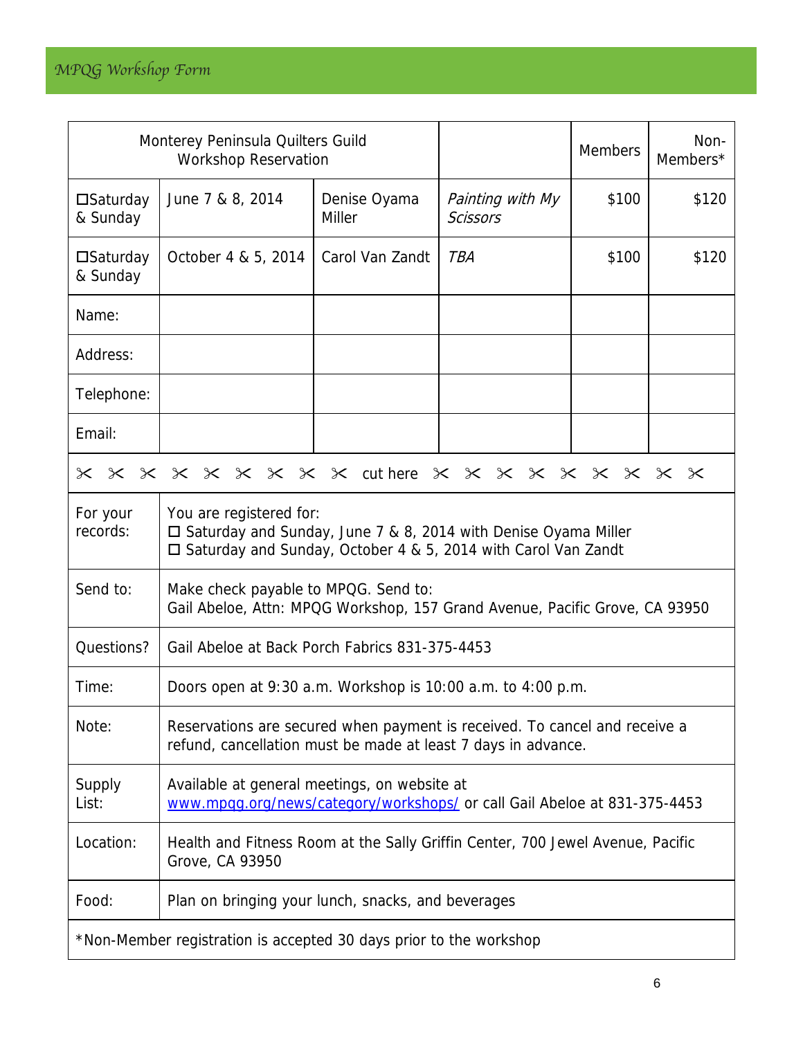| Monterey Peninsula Quilters Guild<br><b>Workshop Reservation</b>   |                                                                                                                                                                     |                               | <b>Members</b>                      | Non-<br>Members* |       |
|--------------------------------------------------------------------|---------------------------------------------------------------------------------------------------------------------------------------------------------------------|-------------------------------|-------------------------------------|------------------|-------|
| $\square$ Saturday<br>& Sunday                                     | June 7 & 8, 2014                                                                                                                                                    | Denise Oyama<br><b>Miller</b> | Painting with My<br><b>Scissors</b> | \$100            | \$120 |
| $\square$ Saturday<br>& Sunday                                     | October 4 & 5, 2014                                                                                                                                                 | Carol Van Zandt               | TBA                                 | \$100            | \$120 |
| Name:                                                              |                                                                                                                                                                     |                               |                                     |                  |       |
| Address:                                                           |                                                                                                                                                                     |                               |                                     |                  |       |
| Telephone:                                                         |                                                                                                                                                                     |                               |                                     |                  |       |
| Email:                                                             |                                                                                                                                                                     |                               |                                     |                  |       |
| x x x x x x x x x x wthere x x x x x x x x x x                     |                                                                                                                                                                     |                               |                                     |                  |       |
| For your<br>records:                                               | You are registered for:<br>$\Box$ Saturday and Sunday, June 7 & 8, 2014 with Denise Oyama Miller<br>□ Saturday and Sunday, October 4 & 5, 2014 with Carol Van Zandt |                               |                                     |                  |       |
| Send to:                                                           | Make check payable to MPQG. Send to:<br>Gail Abeloe, Attn: MPQG Workshop, 157 Grand Avenue, Pacific Grove, CA 93950                                                 |                               |                                     |                  |       |
| Questions?                                                         | Gail Abeloe at Back Porch Fabrics 831-375-4453                                                                                                                      |                               |                                     |                  |       |
| Time:                                                              | Doors open at $9:30$ a.m. Workshop is 10:00 a.m. to $4:00$ p.m.                                                                                                     |                               |                                     |                  |       |
| Note:                                                              | Reservations are secured when payment is received. To cancel and receive a<br>refund, cancellation must be made at least 7 days in advance.                         |                               |                                     |                  |       |
| Supply<br>List:                                                    | Available at general meetings, on website at<br>www.mpgg.org/news/category/workshops/ or call Gail Abeloe at 831-375-4453                                           |                               |                                     |                  |       |
| Location:                                                          | Health and Fitness Room at the Sally Griffin Center, 700 Jewel Avenue, Pacific<br>Grove, CA 93950                                                                   |                               |                                     |                  |       |
| Food:                                                              | Plan on bringing your lunch, snacks, and beverages                                                                                                                  |                               |                                     |                  |       |
| *Non-Member registration is accepted 30 days prior to the workshop |                                                                                                                                                                     |                               |                                     |                  |       |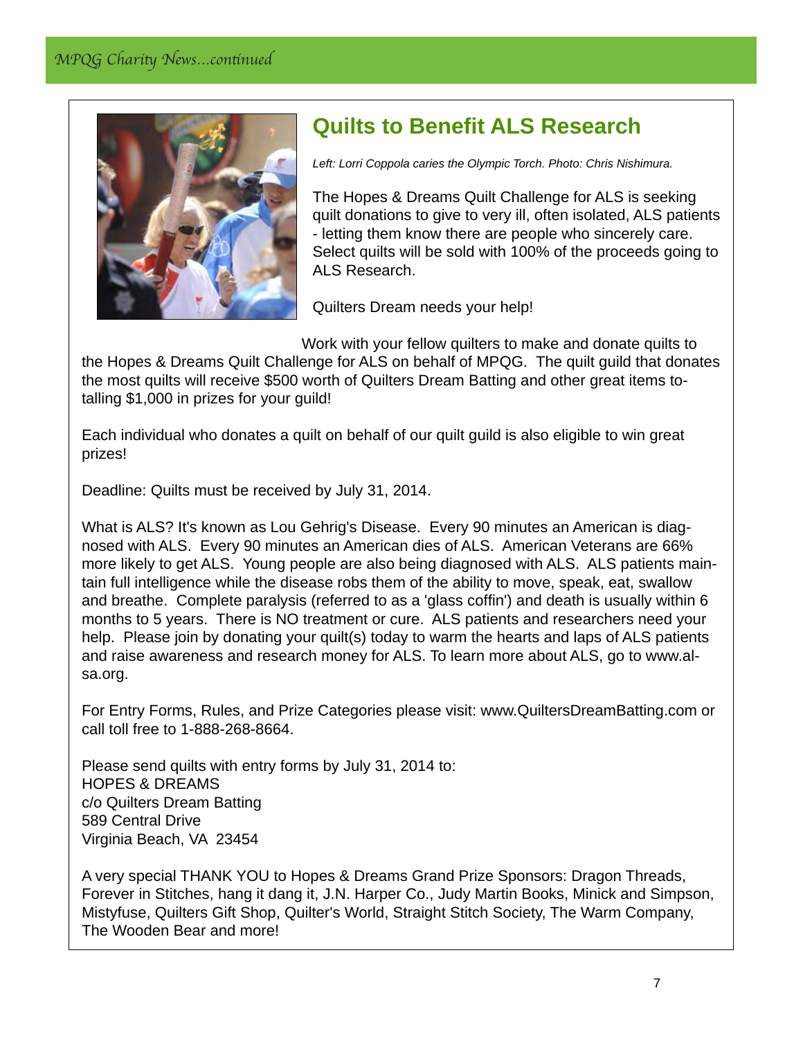

## **Quilts to Benefit ALS Research**

*Left: Lorri Coppola caries the Olympic Torch. Photo: Chris Nishimura.*

The Hopes & Dreams Quilt Challenge for ALS is seeking quilt donations to give to very ill, often isolated, ALS patients - letting them know there are people who sincerely care. Select quilts will be sold with 100% of the proceeds going to ALS Research.

Quilters Dream needs your help!

Work with your fellow quilters to make and donate quilts to the Hopes & Dreams Quilt Challenge for ALS on behalf of MPQG. The quilt guild that donates the most quilts will receive \$500 worth of Quilters Dream Batting and other great items totalling \$1,000 in prizes for your guild!

Each individual who donates a quilt on behalf of our quilt guild is also eligible to win great prizes!

Deadline: Quilts must be received by July 31, 2014.

What is ALS? It's known as Lou Gehrig's Disease. Every 90 minutes an American is diagnosed with ALS. Every 90 minutes an American dies of ALS. American Veterans are 66% more likely to get ALS. Young people are also being diagnosed with ALS. ALS patients maintain full intelligence while the disease robs them of the ability to move, speak, eat, swallow and breathe. Complete paralysis (referred to as a 'glass coffin') and death is usually within 6 months to 5 years. There is NO treatment or cure. ALS patients and researchers need your help. Please join by donating your quilt(s) today to warm the hearts and laps of ALS patients and raise awareness and research money for ALS. To learn more about ALS, go to www.alsa.org.

For Entry Forms, Rules, and Prize Categories please visit: www.QuiltersDreamBatting.com or call toll free to 1-888-268-8664.

Please send quilts with entry forms by July 31, 2014 to: HOPES & DREAMS c/o Quilters Dream Batting 589 Central Drive Virginia Beach, VA 23454

A very special THANK YOU to Hopes & Dreams Grand Prize Sponsors: Dragon Threads, Forever in Stitches, hang it dang it, J.N. Harper Co., Judy Martin Books, Minick and Simpson, Mistyfuse, Quilters Gift Shop, Quilter's World, Straight Stitch Society, The Warm Company, The Wooden Bear and more!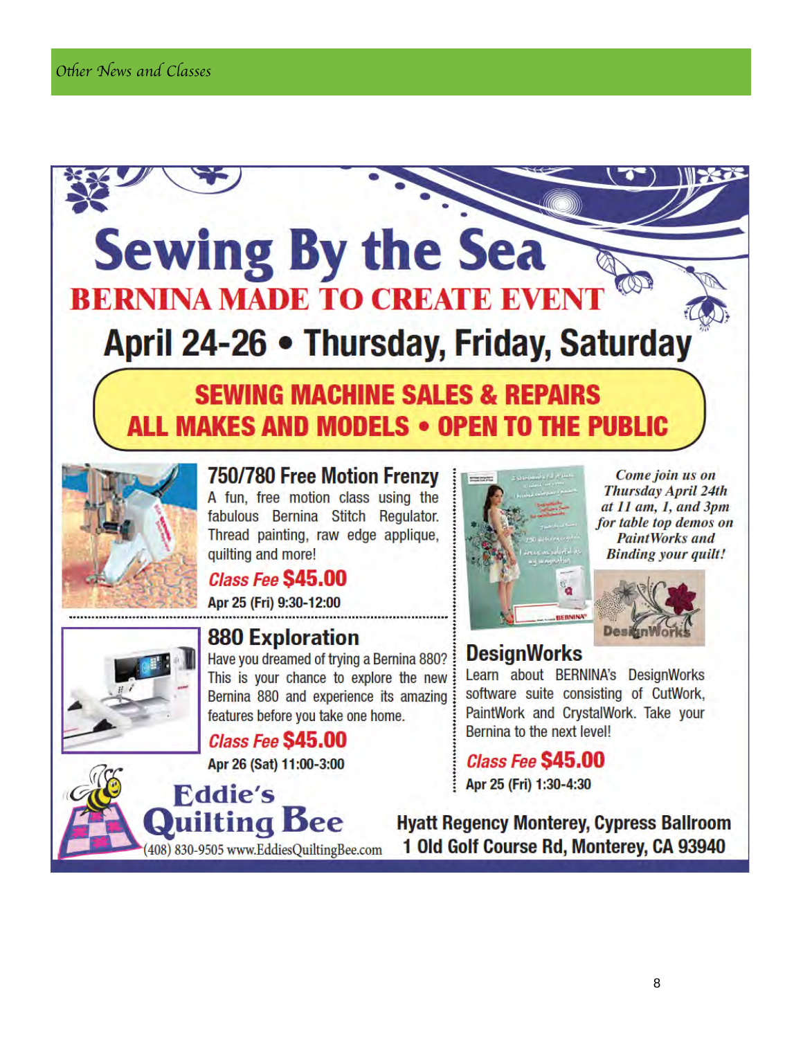

# **BERNINA MADE TO CREATE EVENT** April 24-26 • Thursday, Friday, Saturday

## **SEWING MACHINE SALES & REPAIRS** ALL MAKES AND MODELS • OPEN TO THE PUBLIC



**750/780 Free Motion Frenzy** A fun, free motion class using the fabulous Bernina Stitch Regulator. Thread painting, raw edge applique, quilting and more!

## *Class Fee* S45.00

Apr 25 (Fri) 9:30-12:00



## **880 Exploration**

Have you dreamed of trying a Bernina 880? This is your chance to explore the new Bernina 880 and experience its amazing features before you take one home.

Class Fee S45.00 Apr 26 (Sat) 11:00-3:00





Come join us on **Thursday April 24th** at  $11$  am,  $1$ , and  $3pm$ for table top demos on **PaintWorks and Binding your quilt!** 

# Des

## **DesignWorks**

Learn about BERNINA's DesignWorks software suite consisting of CutWork, PaintWork and CrystalWork. Take your Bernina to the next level!

Class Fee **S45.00** Apr 25 (Fri) 1:30-4:30

**Hyatt Regency Monterey, Cypress Ballroom** 1 Old Golf Course Rd, Monterey, CA 93940

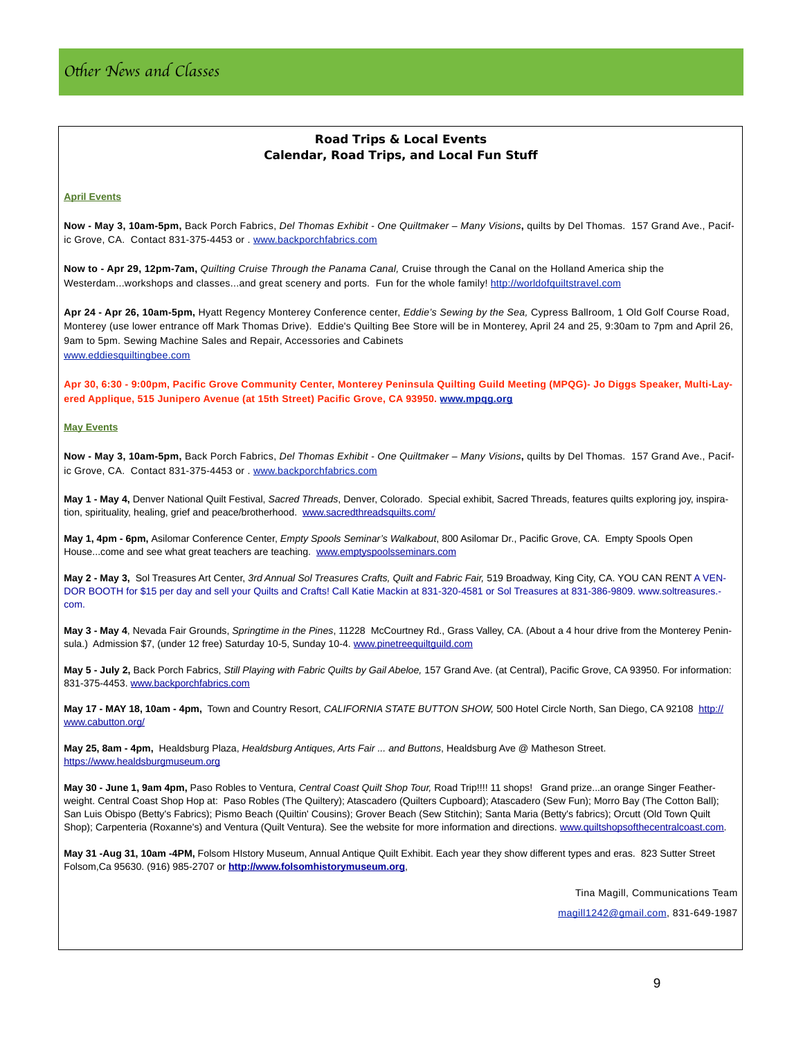#### **Road Trips & Local Events Calendar, Road Trips, and Local Fun Stuff**

#### **April Events**

**Now - May 3, 10am-5pm,** Back Porch Fabrics, *Del Thomas Exhibit - One Quiltmaker – Many Visions***,** quilts by Del Thomas. 157 Grand Ave., Pacific Grove, CA. Contact 831-375-4453 or . [www.backporchfabrics.com](http://www.backporchfabrics.com/)

**Now to - Apr 29, 12pm-7am,** *Quilting Cruise Through the Panama Canal,* Cruise through the Canal on the Holland America ship the Westerdam...workshops and classes...and great scenery and ports. Fun for the whole family! [http://worldofquiltstravel.com](http://www.worldofquiltstravel.com/)

**Apr 24 - Apr 26, 10am-5pm,** Hyatt Regency Monterey Conference center, *Eddie's Sewing by the Sea,* Cypress Ballroom, 1 Old Golf Course Road, Monterey (use lower entrance off Mark Thomas Drive). Eddie's Quilting Bee Store will be in Monterey, April 24 and 25, 9:30am to 7pm and April 26, 9am to 5pm. Sewing Machine Sales and Repair, Accessories and Cabinets [www.eddiesquiltingbee.com](http://www.eddiesquiltingbee.com/)

**Apr 30, 6:30 - 9:00pm, Pacific Grove Community Center, Monterey Peninsula Quilting Guild Meeting (MPQG)- Jo Diggs Speaker, Multi-Layered Applique, 515 Junipero Avenue (at 15th Street) Pacific Grove, CA 93950. [www.mpqg.org](http://www.mpqg.org)**

#### **May Events**

**Now - May 3, 10am-5pm,** Back Porch Fabrics, *Del Thomas Exhibit - One Quiltmaker – Many Visions***,** quilts by Del Thomas. 157 Grand Ave., Pacific Grove, CA. Contact 831-375-4453 or . [www.backporchfabrics.com](http://www.backporchfabrics.com/)

**May 1 - May 4,** Denver National Quilt Festival, *Sacred Threads*, Denver, Colorado. Special exhibit, Sacred Threads, features quilts exploring joy, inspiration, spirituality, healing, grief and peace/brotherhood. [www.sacredthreadsquilts.com/](http://www.sacredthreadsquilts.com/)

**May 1, 4pm - 6pm,** Asilomar Conference Center, *Empty Spools Seminar's Walkabout*, 800 Asilomar Dr., Pacific Grove, CA. Empty Spools Open House...come and see what great teachers are teaching. [www.emptyspoolsseminars.com](http://www.emptyspoolsseminars.com)

**May 2 - May 3,** Sol Treasures Art Center, *3rd Annual Sol Treasures Crafts, Quilt and Fabric Fair,* 519 Broadway, King City, CA. YOU CAN RENT A VEN-[DOR BOOTH for \\$15 per day and sell your Quilts and Crafts! Call Katie Mackin at 831-320-4581 or Sol Treasures at 831-386-9809. www.soltreasures.](http://www.soltreasures.com) com.

**May 3 - May 4**, Nevada Fair Grounds, *Springtime in the Pines*, 11228 McCourtney Rd., Grass Valley, CA. (About a 4 hour drive from the Monterey Peninsula.) Admission \$7, (under 12 free) Saturday 10-5, Sunday 10-4. [www.pinetreequiltguild.com](http://www.pinetreequiltguild.com)

**May 5 - July 2,** Back Porch Fabrics, *Still Playing with Fabric Quilts by Gail Abeloe,* 157 Grand Ave. (at Central), Pacific Grove, CA 93950. For information: 831-375-4453. [www.backporchfabrics.com](http://www.backporchfabrics.com)

**May 17 - MAY 18, 10am - 4pm,** Town and Country Resort, *CALIFORNIA STATE BUTTON SHOW,* [500 Hotel Circle North, San Diego, CA 92108 http://](http://www.cabutton.org/) www.cabutton.org/

**May 25, 8am - 4pm,** Healdsburg Plaza, *Healdsburg Antiques, Arts Fair ... and Buttons*, Healdsburg Ave @ Matheson Street. <https://www.healdsburgmuseum.org>

**May 30 - June 1, 9am 4pm,** Paso Robles to Ventura, *Central Coast Quilt Shop Tour,* Road Trip!!!! 11 shops! Grand prize...an orange Singer Featherweight. Central Coast Shop Hop at: Paso Robles (The Quiltery); Atascadero (Quilters Cupboard); Atascadero (Sew Fun); Morro Bay (The Cotton Ball); San Luis Obispo (Betty's Fabrics); Pismo Beach (Quiltin' Cousins); Grover Beach (Sew Stitchin); Santa Maria (Betty's fabrics); Orcutt (Old Town Quilt Shop); Carpenteria (Roxanne's) and Ventura (Quilt Ventura). See the website for more information and directions. [www.quiltshopsofthecentralcoast.com](http://www.quiltshopsofthecentralcoast.com).

**May 31 -Aug 31, 10am -4PM,** Folsom HIstory Museum, Annual Antique Quilt Exhibit. Each year they show different types and eras. 823 Sutter Street Folsom,Ca 95630. (916) 985-2707 or **<http://www.folsomhistorymuseum.org>**,

Tina Magill, Communications Team

[magill1242@gmail.com,](mailto:magill1242@gmail.com) 831-649-1987